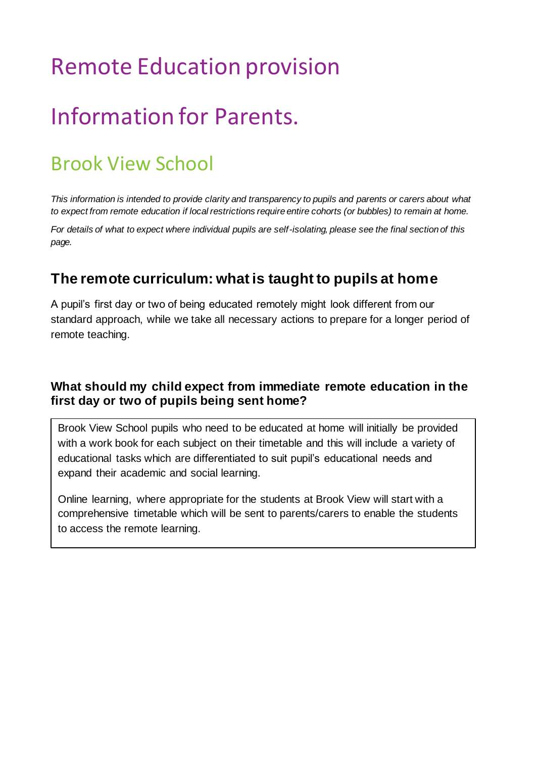# Remote Education provision

# Information for Parents.

## Brook View School

*This information is intended to provide clarity and transparency to pupils and parents or carers about what to expect from remote education if local restrictions require entire cohorts (or bubbles) to remain at home.* 

*For details of what to expect where individual pupils are self-isolating, please see the final section of this page.*

### **The remote curriculum: what is taught to pupils at home**

A pupil's first day or two of being educated remotely might look different from our standard approach, while we take all necessary actions to prepare for a longer period of remote teaching.

#### **What should my child expect from immediate remote education in the first day or two of pupils being sent home?**

Brook View School pupils who need to be educated at home will initially be provided with a work book for each subject on their timetable and this will include a variety of educational tasks which are differentiated to suit pupil's educational needs and expand their academic and social learning.

Online learning, where appropriate for the students at Brook View will start with a comprehensive timetable which will be sent to parents/carers to enable the students to access the remote learning.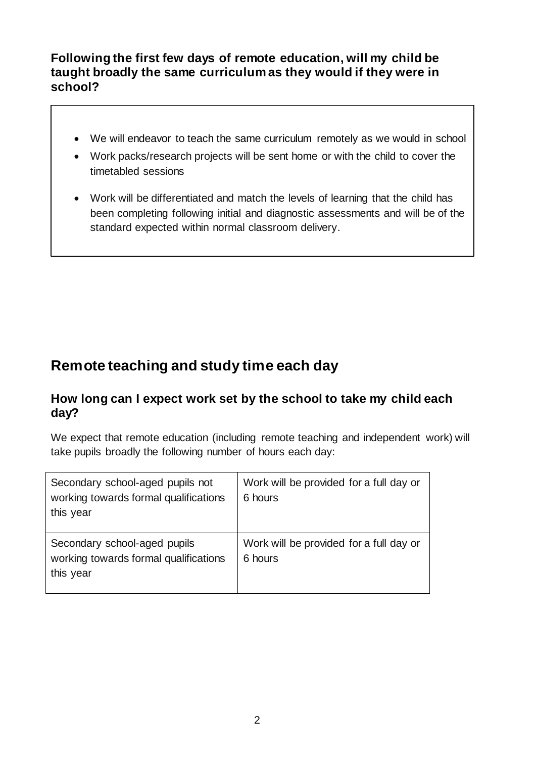#### **Following the first few days of remote education, will my child be taught broadly the same curriculum as they would if they were in school?**

- We will endeavor to teach the same curriculum remotely as we would in school
- Work packs/research projects will be sent home or with the child to cover the timetabled sessions
- Work will be differentiated and match the levels of learning that the child has been completing following initial and diagnostic assessments and will be of the standard expected within normal classroom delivery.

## **Remote teaching and study time each day**

#### **How long can I expect work set by the school to take my child each day?**

We expect that remote education (including remote teaching and independent work) will take pupils broadly the following number of hours each day:

| Secondary school-aged pupils not<br>working towards formal qualifications<br>this year | Work will be provided for a full day or<br>6 hours |
|----------------------------------------------------------------------------------------|----------------------------------------------------|
| Secondary school-aged pupils<br>working towards formal qualifications<br>this year     | Work will be provided for a full day or<br>6 hours |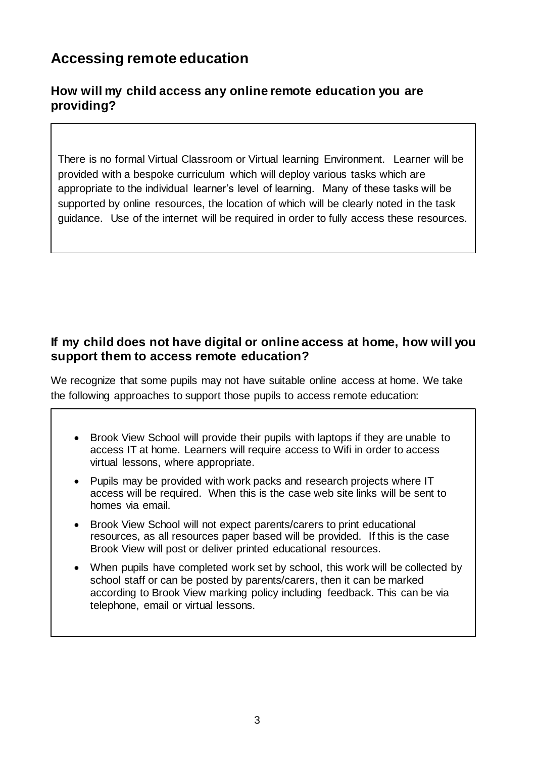## **Accessing remote education**

#### **How will my child access any online remote education you are providing?**

There is no formal Virtual Classroom or Virtual learning Environment. Learner will be provided with a bespoke curriculum which will deploy various tasks which are appropriate to the individual learner's level of learning. Many of these tasks will be supported by online resources, the location of which will be clearly noted in the task guidance. Use of the internet will be required in order to fully access these resources.

#### **If my child does not have digital or online access at home, how will you support them to access remote education?**

We recognize that some pupils may not have suitable online access at home. We take the following approaches to support those pupils to access remote education:

- Brook View School will provide their pupils with laptops if they are unable to access IT at home. Learners will require access to Wifi in order to access virtual lessons, where appropriate.
- Pupils may be provided with work packs and research projects where IT access will be required. When this is the case web site links will be sent to homes via email.
- Brook View School will not expect parents/carers to print educational resources, as all resources paper based will be provided. If this is the case Brook View will post or deliver printed educational resources.
- When pupils have completed work set by school, this work will be collected by school staff or can be posted by parents/carers, then it can be marked according to Brook View marking policy including feedback. This can be via telephone, email or virtual lessons.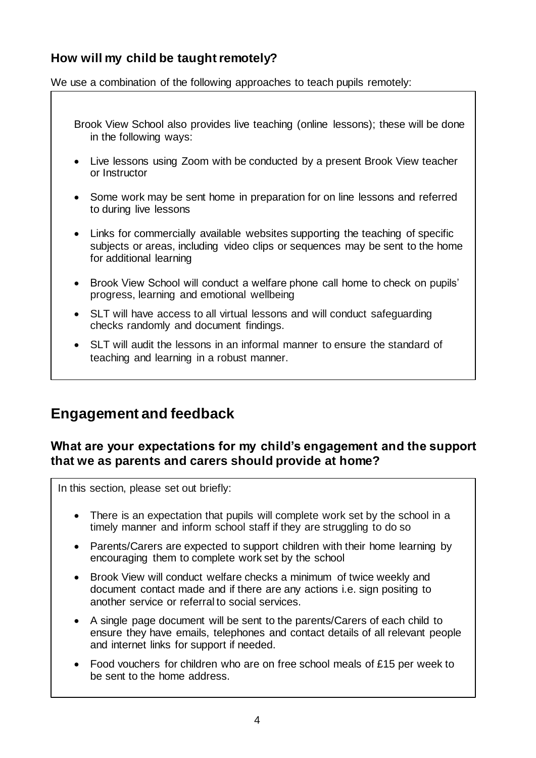#### **How will my child be taught remotely?**

We use a combination of the following approaches to teach pupils remotely:

- Brook View School also provides live teaching (online lessons); these will be done in the following ways:
- Live lessons using Zoom with be conducted by a present Brook View teacher or Instructor
- Some work may be sent home in preparation for on line lessons and referred to during live lessons
- Links for commercially available websites supporting the teaching of specific subjects or areas, including video clips or sequences may be sent to the home for additional learning
- Brook View School will conduct a welfare phone call home to check on pupils' progress, learning and emotional wellbeing
- SLT will have access to all virtual lessons and will conduct safeguarding checks randomly and document findings.
- SLT will audit the lessons in an informal manner to ensure the standard of teaching and learning in a robust manner.

## **Engagement and feedback**

#### **What are your expectations for my child's engagement and the support that we as parents and carers should provide at home?**

In this section, please set out briefly:

- There is an expectation that pupils will complete work set by the school in a timely manner and inform school staff if they are struggling to do so
- Parents/Carers are expected to support children with their home learning by encouraging them to complete work set by the school
- Brook View will conduct welfare checks a minimum of twice weekly and document contact made and if there are any actions i.e. sign positing to another service or referral to social services.
- A single page document will be sent to the parents/Carers of each child to ensure they have emails, telephones and contact details of all relevant people and internet links for support if needed.
- Food vouchers for children who are on free school meals of £15 per week to be sent to the home address.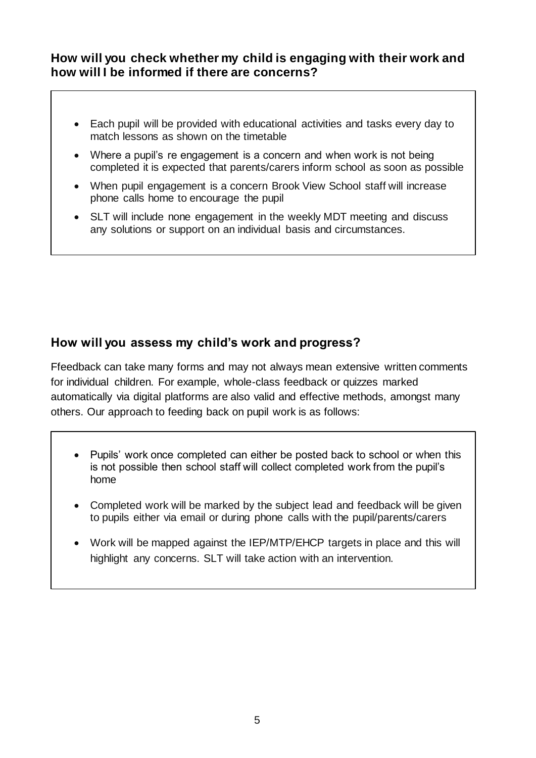#### **How will you check whether my child is engaging with their work and how will I be informed if there are concerns?**

- Each pupil will be provided with educational activities and tasks every day to match lessons as shown on the timetable
- Where a pupil's re engagement is a concern and when work is not being completed it is expected that parents/carers inform school as soon as possible
- When pupil engagement is a concern Brook View School staff will increase phone calls home to encourage the pupil
- SLT will include none engagement in the weekly MDT meeting and discuss any solutions or support on an individual basis and circumstances.

#### **How will you assess my child's work and progress?**

Ffeedback can take many forms and may not always mean extensive written comments for individual children. For example, whole-class feedback or quizzes marked automatically via digital platforms are also valid and effective methods, amongst many others. Our approach to feeding back on pupil work is as follows:

- Pupils' work once completed can either be posted back to school or when this is not possible then school staff will collect completed work from the pupil's home
- Completed work will be marked by the subject lead and feedback will be given to pupils either via email or during phone calls with the pupil/parents/carers
- Work will be mapped against the IEP/MTP/EHCP targets in place and this will highlight any concerns. SLT will take action with an intervention.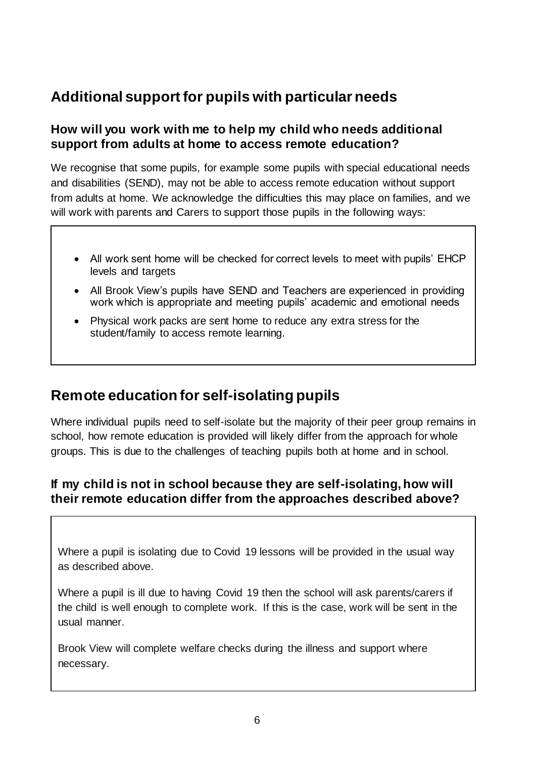## **Additional support for pupils with particular needs**

#### **How will you work with me to help my child who needs additional support from adults at home to access remote education?**

We recognise that some pupils, for example some pupils with special educational needs and disabilities (SEND), may not be able to access remote education without support from adults at home. We acknowledge the difficulties this may place on families, and we will work with parents and Carers to support those pupils in the following ways:

- All work sent home will be checked for correct levels to meet with pupils' EHCP levels and targets
- All Brook View's pupils have SEND and Teachers are experienced in providing work which is appropriate and meeting pupils' academic and emotional needs
- Physical work packs are sent home to reduce any extra stress for the student/family to access remote learning.

## **Remote education for self-isolating pupils**

Where individual pupils need to self-isolate but the majority of their peer group remains in school, how remote education is provided will likely differ from the approach for whole groups. This is due to the challenges of teaching pupils both at home and in school.

#### **If my child is not in school because they are self-isolating, how will their remote education differ from the approaches described above?**

Where a pupil is isolating due to Covid 19 lessons will be provided in the usual way as described above.

Where a pupil is ill due to having Covid 19 then the school will ask parents/carers if the child is well enough to complete work. If this is the case, work will be sent in the usual manner.

Brook View will complete welfare checks during the illness and support where necessary.